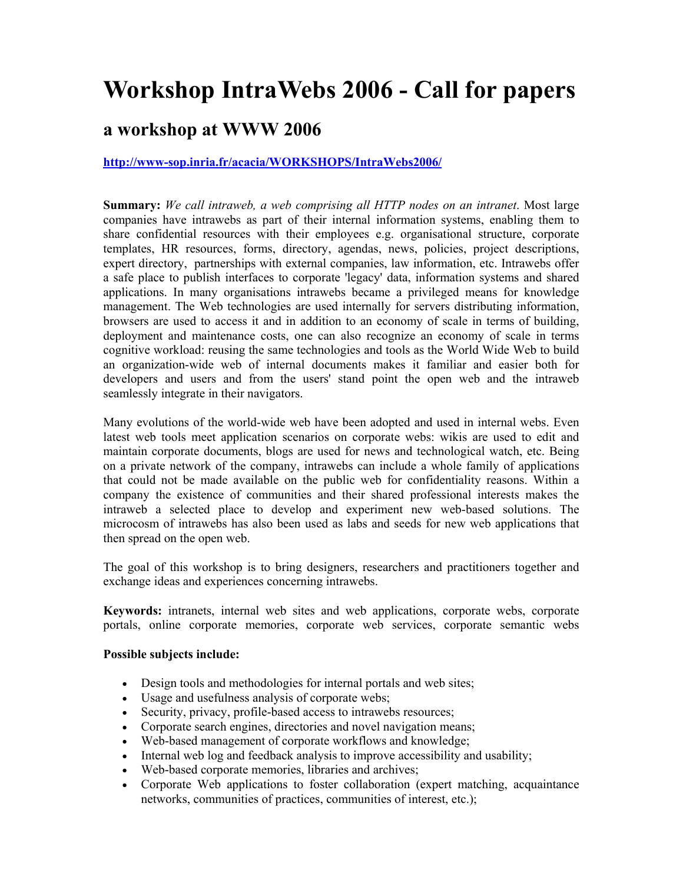# **Workshop IntraWebs 2006 - Call for papers**

## **a workshop at WWW 2006**

#### **http://www-sop.inria.fr/acacia/WORKSHOPS/IntraWebs2006/**

**Summary:** *We call intraweb, a web comprising all HTTP nodes on an intranet*. Most large companies have intrawebs as part of their internal information systems, enabling them to share confidential resources with their employees e.g. organisational structure, corporate templates, HR resources, forms, directory, agendas, news, policies, project descriptions, expert directory, partnerships with external companies, law information, etc. Intrawebs offer a safe place to publish interfaces to corporate 'legacy' data, information systems and shared applications. In many organisations intrawebs became a privileged means for knowledge management. The Web technologies are used internally for servers distributing information, browsers are used to access it and in addition to an economy of scale in terms of building, deployment and maintenance costs, one can also recognize an economy of scale in terms cognitive workload: reusing the same technologies and tools as the World Wide Web to build an organization-wide web of internal documents makes it familiar and easier both for developers and users and from the users' stand point the open web and the intraweb seamlessly integrate in their navigators.

Many evolutions of the world-wide web have been adopted and used in internal webs. Even latest web tools meet application scenarios on corporate webs: wikis are used to edit and maintain corporate documents, blogs are used for news and technological watch, etc. Being on a private network of the company, intrawebs can include a whole family of applications that could not be made available on the public web for confidentiality reasons. Within a company the existence of communities and their shared professional interests makes the intraweb a selected place to develop and experiment new web-based solutions. The microcosm of intrawebs has also been used as labs and seeds for new web applications that then spread on the open web.

The goal of this workshop is to bring designers, researchers and practitioners together and exchange ideas and experiences concerning intrawebs.

**Keywords:** intranets, internal web sites and web applications, corporate webs, corporate portals, online corporate memories, corporate web services, corporate semantic webs

#### **Possible subjects include:**

- Design tools and methodologies for internal portals and web sites;
- Usage and usefulness analysis of corporate webs;
- Security, privacy, profile-based access to intrawebs resources;
- Corporate search engines, directories and novel navigation means;
- Web-based management of corporate workflows and knowledge;
- Internal web log and feedback analysis to improve accessibility and usability;
- Web-based corporate memories, libraries and archives;
- Corporate Web applications to foster collaboration (expert matching, acquaintance networks, communities of practices, communities of interest, etc.);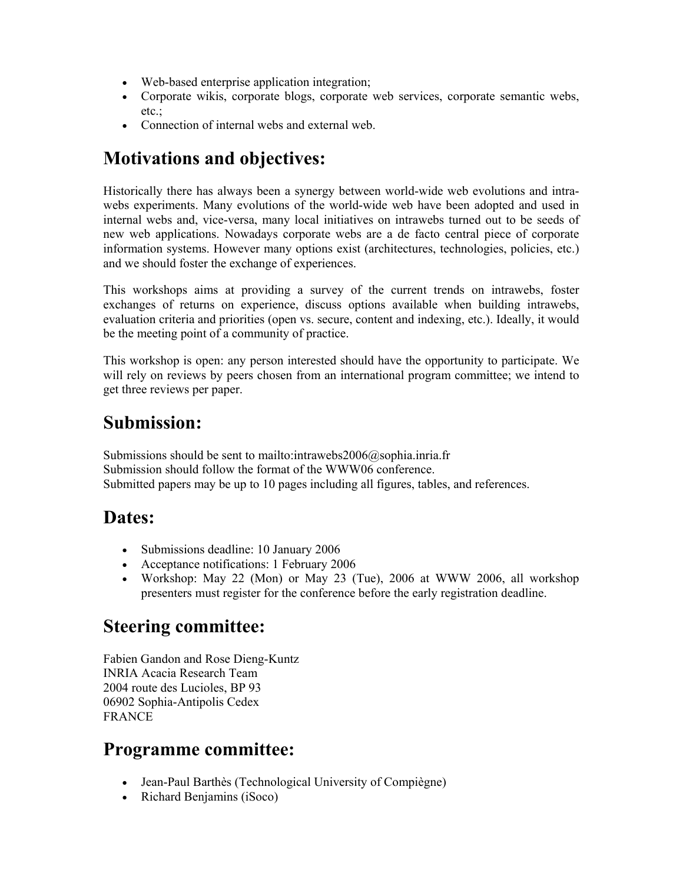- Web-based enterprise application integration;
- Corporate wikis, corporate blogs, corporate web services, corporate semantic webs, etc.;
- Connection of internal webs and external web.

# **Motivations and objectives:**

Historically there has always been a synergy between world-wide web evolutions and intrawebs experiments. Many evolutions of the world-wide web have been adopted and used in internal webs and, vice-versa, many local initiatives on intrawebs turned out to be seeds of new web applications. Nowadays corporate webs are a de facto central piece of corporate information systems. However many options exist (architectures, technologies, policies, etc.) and we should foster the exchange of experiences.

This workshops aims at providing a survey of the current trends on intrawebs, foster exchanges of returns on experience, discuss options available when building intrawebs, evaluation criteria and priorities (open vs. secure, content and indexing, etc.). Ideally, it would be the meeting point of a community of practice.

This workshop is open: any person interested should have the opportunity to participate. We will rely on reviews by peers chosen from an international program committee; we intend to get three reviews per paper.

# **Submission:**

Submissions should be sent to mailto:intrawebs2006@sophia.inria.fr Submission should follow the format of the WWW06 conference. Submitted papers may be up to 10 pages including all figures, tables, and references.

## **Dates:**

- Submissions deadline: 10 January 2006
- Acceptance notifications: 1 February 2006
- Workshop: May 22 (Mon) or May 23 (Tue), 2006 at WWW 2006, all workshop presenters must register for the conference before the early registration deadline.

# **Steering committee:**

Fabien Gandon and Rose Dieng-Kuntz INRIA Acacia Research Team 2004 route des Lucioles, BP 93 06902 Sophia-Antipolis Cedex FRANCE

## **Programme committee:**

- Jean-Paul Barthès (Technological University of Compiègne)
- Richard Benjamins (iSoco)